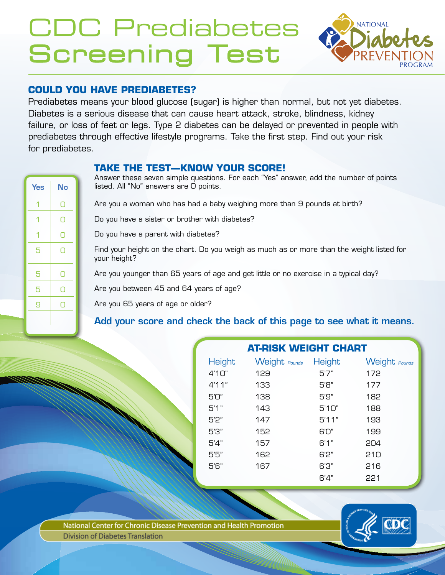# CDC Prediabetes Screening Test



# **COULD YOU HAVE PREDIABETES?**

Prediabetes means your blood glucose (sugar) is higher than normal, but not yet diabetes. Diabetes is a serious disease that can cause heart attack, stroke, blindness, kidney failure, or loss of feet or legs. Type 2 diabetes can be delayed or prevented in people with prediabetes through effective lifestyle programs. Take the first step. Find out your risk for prediabetes.

## **TAKE THE TEST—KNOW YOUR SCORE!**

| <b>Yes</b> | <b>No</b> |  |
|------------|-----------|--|
| 1          | 0         |  |
| 1          | О         |  |
| 1          | Ω         |  |
| 5          | Ω         |  |
| 5          | Ō         |  |
| 5          | 0         |  |
| 9          | ∩         |  |
|            |           |  |

Answer these seven simple questions. For each "Yes" answer, add the number of points listed. All "No" answers are 0 points.

Are you a woman who has had a baby weighing more than 9 pounds at birth?

Do you have a sister or brother with diabetes?

Do you have a parent with diabetes?

Find your height on the chart. Do you weigh as much as or more than the weight listed for your height?

Are you younger than 65 years of age and get little or no exercise in a typical day?

Are you between 45 and 64 years of age?

Are you 65 years of age or older?

# Add your score and check the back of this page to see what it means.

| <b>AT-RISK WEIGHT CHART</b> |                      |       |               |  |
|-----------------------------|----------------------|-------|---------------|--|
| Height                      | Weight Pounds Height |       | Weight Pounds |  |
| 4'10"                       | 129                  | 5'7"  | 172           |  |
| 4'11"                       | 133                  | 5'8"  | 177           |  |
| 5'0"                        | 138                  | 5'9"  | 182           |  |
| 5'1"                        | 143                  | 5'10" | 188           |  |
| 5'2"                        | 147                  | 5'11" | 193           |  |
| 5'3"                        | 152                  | 6'0"  | 199           |  |
| 5'4"                        | 157                  | 6'1"  | 204           |  |
| 5'5"                        | 162                  | 6'2"  | 210           |  |
| 5'6"                        | 167                  | 6'3"  | 216           |  |
|                             |                      | 6'4"  | 221           |  |

National Center for Chronic Disease Prevention and Health Promotion **Division of Diabetes Translation**